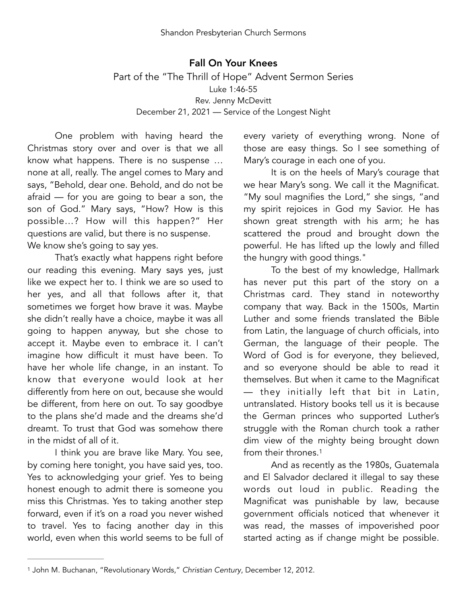Fall On Your Knees Part of the "The Thrill of Hope" Advent Sermon Series Luke 1:46-55 Rev. Jenny McDevitt December 21, 2021 — Service of the Longest Night

One problem with having heard the Christmas story over and over is that we all know what happens. There is no suspense … none at all, really. The angel comes to Mary and says, "Behold, dear one. Behold, and do not be afraid — for you are going to bear a son, the son of God." Mary says, "How? How is this possible…? How will this happen?" Her questions are valid, but there is no suspense. We know she's going to say yes.

That's exactly what happens right before our reading this evening. Mary says yes, just like we expect her to. I think we are so used to her yes, and all that follows after it, that sometimes we forget how brave it was. Maybe she didn't really have a choice, maybe it was all going to happen anyway, but she chose to accept it. Maybe even to embrace it. I can't imagine how difficult it must have been. To have her whole life change, in an instant. To know that everyone would look at her differently from here on out, because she would be different, from here on out. To say goodbye to the plans she'd made and the dreams she'd dreamt. To trust that God was somehow there in the midst of all of it.

I think you are brave like Mary. You see, by coming here tonight, you have said yes, too. Yes to acknowledging your grief. Yes to being honest enough to admit there is someone you miss this Christmas. Yes to taking another step forward, even if it's on a road you never wished to travel. Yes to facing another day in this world, even when this world seems to be full of every variety of everything wrong. None of those are easy things. So I see something of Mary's courage in each one of you.

It is on the heels of Mary's courage that we hear Mary's song. We call it the Magnificat. "My soul magnifies the Lord," she sings, "and my spirit rejoices in God my Savior. He has shown great strength with his arm; he has scattered the proud and brought down the powerful. He has lifted up the lowly and filled the hungry with good things."

To the best of my knowledge, Hallmark has never put this part of the story on a Christmas card. They stand in noteworthy company that way. Back in the 1500s, Martin Luther and some friends translated the Bible from Latin, the language of church officials, into German, the language of their people. The Word of God is for everyone, they believed, and so everyone should be able to read it themselves. But when it came to the Magnificat — they initially left that bit in Latin, untranslated. History books tell us it is because the German princes who supported Luther's struggle with the Roman church took a rather dim view of the mighty being brought down from their thrones[.1](#page-0-0)

<span id="page-0-1"></span>And as recently as the 1980s, Guatemala and El Salvador declared it illegal to say these words out loud in public. Reading the Magnificat was punishable by law, because government officials noticed that whenever it was read, the masses of impoverished poor started acting as if change might be possible.

<span id="page-0-0"></span><sup>&</sup>lt;sup>[1](#page-0-1)</sup> John M. Buchanan, "Revolutionary Words," *Christian Century*, December 12, 2012.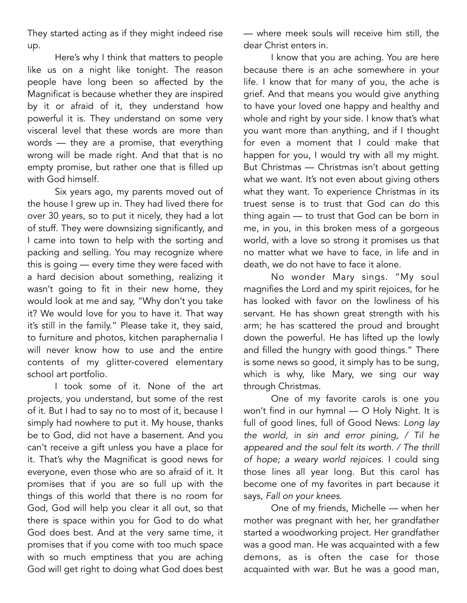They started acting as if they might indeed rise up.

Here's why I think that matters to people like us on a night like tonight. The reason people have long been so affected by the Magnificat is because whether they are inspired by it or afraid of it, they understand how powerful it is. They understand on some very visceral level that these words are more than words — they are a promise, that everything wrong will be made right. And that that is no empty promise, but rather one that is filled up with God himself*.*

Six years ago, my parents moved out of the house I grew up in. They had lived there for over 30 years, so to put it nicely, they had a lot of stuff. They were downsizing significantly, and I came into town to help with the sorting and packing and selling. You may recognize where this is going — every time they were faced with a hard decision about something, realizing it wasn't going to fit in their new home, they would look at me and say, "Why don't you take it? We would love for you to have it. That way it's still in the family." Please take it, they said, to furniture and photos, kitchen paraphernalia I will never know how to use and the entire contents of my glitter-covered elementary school art portfolio.

I took some of it. None of the art projects, you understand, but some of the rest of it. But I had to say no to most of it, because I simply had nowhere to put it. My house, thanks be to God, did not have a basement. And you can't receive a gift unless you have a place for it. That's why the Magnificat is good news for everyone, even those who are so afraid of it. It promises that if you are so full up with the things of this world that there is no room for God, God will help you clear it all out, so that there is space within you for God to do what God does best. And at the very same time, it promises that if you come with too much space with so much emptiness that you are aching God will get right to doing what God does best

— where meek souls will receive him still, the dear Christ enters in.

I know that you are aching. You are here because there is an ache somewhere in your life. I know that for many of you, the ache is grief. And that means you would give anything to have your loved one happy and healthy and whole and right by your side. I know that's what you want more than anything, and if I thought for even a moment that I could make that happen for you, I would try with all my might. But Christmas — Christmas isn't about getting what we want. It's not even about giving others what they want. To experience Christmas in its truest sense is to trust that God can do this thing again — to trust that God can be born in me, in you, in this broken mess of a gorgeous world, with a love so strong it promises us that no matter what we have to face, in life and in death, we do not have to face it alone.

No wonder Mary sings. "My soul magnifies the Lord and my spirit rejoices, for he has looked with favor on the lowliness of his servant. He has shown great strength with his arm; he has scattered the proud and brought down the powerful. He has lifted up the lowly and filled the hungry with good things." There is some news so good, it simply has to be sung, which is why, like Mary, we sing our way through Christmas.

One of my favorite carols is one you won't find in our hymnal — O Holy Night. It is full of good lines, full of Good News: *Long lay the world, in sin and error pining, / Til he appeared and the soul felt its worth. / The thrill of hope; a weary world rejoices.* I could sing those lines all year long. But this carol has become one of my favorites in part because it says, *Fall on your knees*.

One of my friends, Michelle — when her mother was pregnant with her, her grandfather started a woodworking project. Her grandfather was a good man. He was acquainted with a few demons, as is often the case for those acquainted with war. But he was a good man,